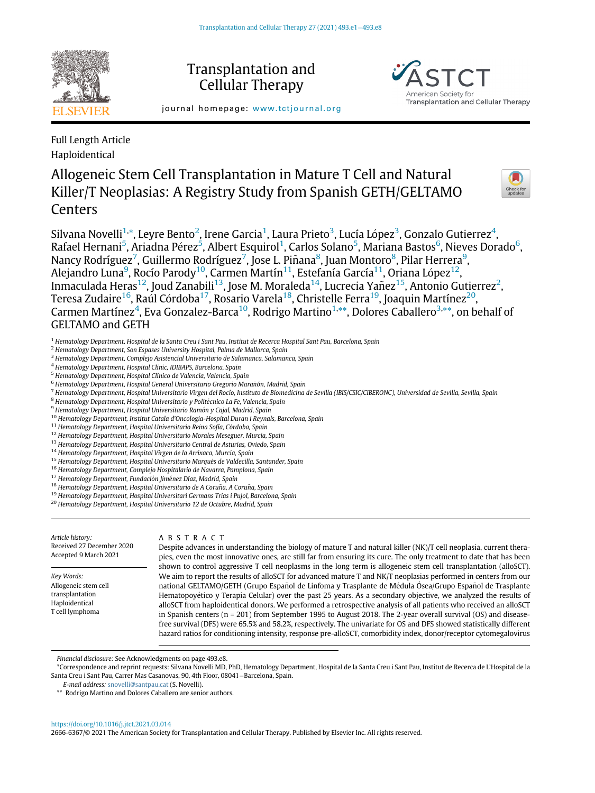

Transplantation and Cellular Therapy

journal homepage: [www.tctjournal.org](http://www.tctjournal.org)

Full Length Article Haploidentical

# Allogeneic Stem Cell Transplantation in Mature T Cell and Natural Killer/T Neoplasias: A Registry Study from Spanish GETH/GELTAMO Centers



Transplantation and Cellular Therapy

Silvana Novelli $^{1,\ast}$  $^{1,\ast}$  $^{1,\ast}$ , Leyre Bento $^2$  $^2$ , Irene Garcia $^1$  $^1$ , Laura Prieto $^3$  $^3$ , Lucía López $^3$ , Gonzalo Gutierrez $^4$  $^4$ , Rafael Hernani $^5$  $^5$ , Ariadna Pérez $^5$ , Albert Esquirol $^1$  $^1$ , Carlos Solano $^5$ , Mariana Bastos $^6$  $^6$ , Nieves Dorado $^6$ , Nancy Rodríguez<sup>[7](#page-0-7)</sup>, Guillermo Rodríguez<sup>7</sup>, Jose L. Piñana<sup>[8](#page-0-8)</sup>, Juan Montoro<sup>8</sup>, Pilar Herrera<sup>[9](#page-0-9)</sup>, Alejandro Luna $^9$  $^9$ , Rocío Parody $^{10}$ , Carmen Martín $^{11}$ , Estefanía García $^{11}$ , Oriana López $^{12}$ , Inmaculada Heras $^{12}$  $^{12}$  $^{12}$ , Joud Zanabili $^{13}$ , Jose M. Moraleda $^{14}$  $^{14}$  $^{14}$ , Lucrecia Yañez $^{15}$  $^{15}$  $^{15}$ , Antonio Gutierrez $^2$ , Teresa Zudaire<sup>16</sup>, Raúl Córdoba<sup>[17](#page-0-17)</sup>, Rosario Varela<sup>18</sup>, Christelle Ferra<sup>19</sup>, Joaquin Martínez<sup>20</sup>, Carmen Martínez<sup>[4](#page-0-4)</sup>, Eva Gonzalez-Barca<sup>[10](#page-0-10)</sup>, Rodrigo Martino<sup>1,[\\*\\*](#page-0-21)</sup>, Dolores Caballero<sup>[3](#page-0-3),\*\*</sup>, on behalf of GELTAMO and GETH

- <span id="page-0-0"></span><sup>1</sup> Hematology Department, Hospital de la Santa Creu i Sant Pau, Institut de Recerca Hospital Sant Pau, Barcelona, Spain
- <span id="page-0-2"></span><sup>2</sup> Hematology Department, Son Espases University Hospital, Palma de Mallorca, Spain
- <span id="page-0-3"></span><sup>3</sup> Hematology Department, Complejo Asistencial Universitario de Salamanca, Salamanca, Spain
- <span id="page-0-4"></span><sup>4</sup> Hematology Department, Hospital Clinic, IDIBAPS, Barcelona, Spain
- <span id="page-0-5"></span><sup>5</sup> Hematology Department, Hospital Clínico de Valencia, Valencia, Spain
- <span id="page-0-6"></span> $^6$  Hematology Department, Hospital General Universitario Gregorio Marañón, Madrid, Spain
- <span id="page-0-7"></span>7 Hematology Department, Hospital Universitario Virgen del Rocío, Instituto de Biomedicina de Sevilla (IBIS/CSIC/CIBERONC), Universidad de Sevilla, Sevilla, Spain
- <span id="page-0-8"></span><sup>8</sup> Hematology Department, Hospital Universitario y Politécnico La Fe, Valencia, Spain
- <span id="page-0-10"></span><span id="page-0-9"></span><sup>9</sup> Hematology Department, Hospital Universitario Ramón y Cajal, Madrid, Spain
- <sup>10</sup> Hematology Department, Institut Catala d'Oncologia-Hospital Duran i Reynals, Barcelona, Spain
- <span id="page-0-11"></span> $^{11}$  Hematology Department, Hospital Universitario Reina Sofía, Córdoba, Spain
- <span id="page-0-12"></span><sup>12</sup> Hematology Department, Hospital Universitario Morales Meseguer, Murcia, Spain
- <span id="page-0-13"></span><sup>13</sup> Hematology Department, Hospital Universitario Central de Asturias, Oviedo, Spain
- <span id="page-0-14"></span><sup>14</sup> Hematology Department, Hospital Virgen de la Arrixaca, Murcia, Spain
- <span id="page-0-15"></span><sup>15</sup> Hematology Department, Hospital Universitario Marqués de Valdecilla, Santander, Spain
- <span id="page-0-16"></span><sup>16</sup> Hematology Department, Complejo Hospitalario de Navarra, Pamplona, Spain
- <span id="page-0-17"></span><sup>17</sup> Hematology Department, Fundación Jiménez Díaz, Madrid, Spain
- <span id="page-0-18"></span> $^{18}$  Hematology Department, Hospital Universitario de A Coruña, A Coruña, Spain
- <span id="page-0-19"></span><sup>19</sup> Hematology Department, Hospital Universitari Germans Trias i Pujol, Barcelona, Spain
- <span id="page-0-20"></span><sup>20</sup> Hematology Department, Hospital Universitario 12 de Octubre, Madrid, Spain

Article history: Received 27 December 2020 Accepted 9 March 2021

Key Words: Allogeneic stem cell transplantation Haploidentical T cell lymphoma

ABSTRACT

Despite advances in understanding the biology of mature T and natural killer (NK)/T cell neoplasia, current therapies, even the most innovative ones, are still far from ensuring its cure. The only treatment to date that has been shown to control aggressive T cell neoplasms in the long term is allogeneic stem cell transplantation (alloSCT). We aim to report the results of alloSCT for advanced mature T and NK/T neoplasias performed in centers from our national GELTAMO/GETH (Grupo Español de Linfoma y Trasplante de Médula Ósea/Grupo Español de Trasplante Hematopoyetico y Terapia Celular) over the past 25 years. As a secondary objective, we analyzed the results of alloSCT from haploidentical donors. We performed a retrospective analysis of all patients who received an alloSCT in Spanish centers (n = 201) from September 1995 to August 2018. The 2-year overall survival (OS) and diseasefree survival (DFS) were 65.5% and 58.2%, respectively. The univariate for OS and DFS showed statistically different hazard ratios for conditioning intensity, response pre-alloSCT, comorbidity index, donor/receptor cytomegalovirus

Financial disclosure: See Acknowledgments on page 493.e8.

<span id="page-0-1"></span>\*Correspondence and reprint requests: Silvana Novelli MD, PhD, Hematology Department, Hospital de la Santa Creu i Sant Pau, Institut de Recerca de L'Hospital de la Santa Creu i Sant Pau, Carrer Mas Casanovas, 90, 4th Floor, 08041 - Barcelona, Spain.

E-mail address: [snovelli@santpau.cat](mailto:snovelli@santpau.cat) (S. Novelli).

<span id="page-0-21"></span>\*\* Rodrigo Martino and Dolores Caballero are senior authors.

<https://doi.org/10.1016/j.jtct.2021.03.014>

2666-6367/© 2021 The American Society for Transplantation and Cellular Therapy. Published by Elsevier Inc. All rights reserved.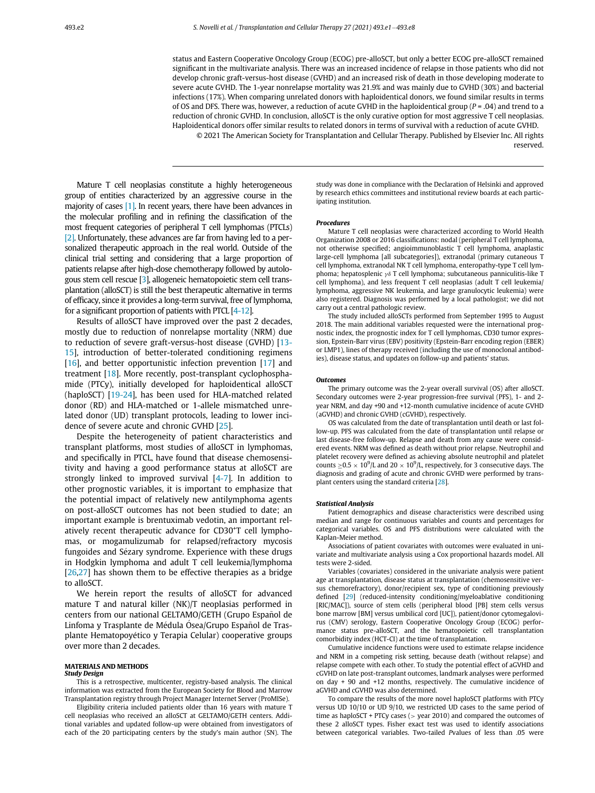status and Eastern Cooperative Oncology Group (ECOG) pre-alloSCT, but only a better ECOG pre-alloSCT remained significant in the multivariate analysis. There was an increased incidence of relapse in those patients who did not develop chronic graft-versus-host disease (GVHD) and an increased risk of death in those developing moderate to severe acute GVHD. The 1-year nonrelapse mortality was 21.9% and was mainly due to GVHD (30%) and bacterial infections (17%). When comparing unrelated donors with haploidentical donors, we found similar results in terms of OS and DFS. There was, however, a reduction of acute GVHD in the haploidentical group ( $P = .04$ ) and trend to a reduction of chronic GVHD. In conclusion, alloSCT is the only curative option for most aggressive T cell neoplasias. Haploidentical donors offer similar results to related donors in terms of survival with a reduction of acute GVHD. © 2021 The American Society for Transplantation and Cellular Therapy. Published by Elsevier Inc. All rights

Mature T cell neoplasias constitute a highly heterogeneous group of entities characterized by an aggressive course in the majority of cases [\[1\]](#page-7-0). In recent years, there have been advances in the molecular profiling and in refining the classification of the most frequent categories of peripheral T cell lymphomas (PTCLs) [\[2\].](#page-7-1) Unfortunately, these advances are far from having led to a personalized therapeutic approach in the real world. Outside of the clinical trial setting and considering that a large proportion of patients relapse after high-dose chemotherapy followed by autologous stem cell rescue [[3\]](#page-7-2), allogeneic hematopoietic stem cell transplantation (alloSCT) is still the best therapeutic alternative in terms of efficacy, since it provides a long-term survival, free of lymphoma, for a significant proportion of patients with PTCL [\[4-12\]](#page-7-3).

Results of alloSCT have improved over the past 2 decades, mostly due to reduction of nonrelapse mortality (NRM) due to reduction of severe graft-versus-host disease (GVHD) [\[13-](#page-7-4) [15\]](#page-7-4), introduction of better-tolerated conditioning regimens [\[16\]](#page-7-5), and better opportunistic infection prevention [\[17\]](#page-7-6) and treatment [[18\]](#page-7-7). More recently, post-transplant cyclophosphamide (PTCy), initially developed for haploidentical alloSCT (haploSCT) [[19-24](#page-7-8)], has been used for HLA-matched related donor (RD) and HLA-matched or 1-allele mismatched unrelated donor (UD) transplant protocols, leading to lower incidence of severe acute and chronic GVHD [[25\]](#page-7-9).

Despite the heterogeneity of patient characteristics and transplant platforms, most studies of alloSCT in lymphomas, and specifically in PTCL, have found that disease chemosensitivity and having a good performance status at alloSCT are strongly linked to improved survival [\[4-7\]](#page-7-3). In addition to other prognostic variables, it is important to emphasize that the potential impact of relatively new antilymphoma agents on post-alloSCT outcomes has not been studied to date; an important example is brentuximab vedotin, an important relatively recent therapeutic advance for CD30<sup>+</sup>T cell lymphomas, or mogamulizumab for relapsed/refractory mycosis fungoides and Sezary syndrome. Experience with these drugs in Hodgkin lymphoma and adult T cell leukemia/lymphoma [\[26,](#page-7-10)[27](#page-7-11)] has shown them to be effective therapies as a bridge to alloSCT.

We herein report the results of alloSCT for advanced mature T and natural killer (NK)/T neoplasias performed in centers from our national GELTAMO/GETH (Grupo Español de Linfoma y Trasplante de Médula Osea/Grupo Español de Trasplante Hematopoyetico y Terapia Celular) cooperative groups over more than 2 decades.

# Study Design

This is a retrospective, multicenter, registry-based analysis. The clinical information was extracted from the European Society for Blood and Marrow Transplantation registry through Project Manager Internet Server (ProMISe).

Eligibility criteria included patients older than 16 years with mature T cell neoplasias who received an alloSCT at GELTAMO/GETH centers. Additional variables and updated follow-up were obtained from investigators of each of the 20 participating centers by the study's main author (SN). The study was done in compliance with the Declaration of Helsinki and approved by research ethics committees and institutional review boards at each participating institution.

reserved.

### Procedures

Mature T cell neoplasias were characterized according to World Health Organization 2008 or 2016 classifications: nodal (peripheral T cell lymphoma, not otherwise specified; angioimmunoblastic T cell lymphoma, anaplastic large-cell lymphoma [all subcategories]), extranodal (primary cutaneous T cell lymphoma, extranodal NK T cell lymphoma, enteropathy-type T cell lymphoma; hepatosplenic  $\gamma\delta$  T cell lymphoma; subcutaneous panniculitis-like T cell lymphoma), and less frequent T cell neoplasias (adult T cell leukemia/ lymphoma, aggressive NK leukemia, and large granulocytic leukemia) were also registered. Diagnosis was performed by a local pathologist; we did not carry out a central pathologic review.

The study included alloSCTs performed from September 1995 to August 2018. The main additional variables requested were the international prognostic index, the prognostic index for T cell lymphomas, CD30 tumor expression, Epstein-Barr virus (EBV) positivity (Epstein-Barr encoding region (EBER) or LMP1), lines of therapy received (including the use of monoclonal antibodies), disease status, and updates on follow-up and patients' status.

### **Outcomes**

The primary outcome was the 2-year overall survival (OS) after alloSCT. Secondary outcomes were 2-year progression-free survival (PFS), 1- and 2 year NRM, and day +90 and +12-month cumulative incidence of acute GVHD (aGVHD) and chronic GVHD (cGVHD), respectively.

OS was calculated from the date of transplantation until death or last follow-up. PFS was calculated from the date of transplantation until relapse or last disease-free follow-up. Relapse and death from any cause were considered events. NRM was defined as death without prior relapse. Neutrophil and platelet recovery were defined as achieving absolute neutrophil and platelet counts  $\geq$  0.5  $\times$  10<sup>9</sup>/L and 20  $\times$  10<sup>9</sup>/L, respectively, for 3 consecutive days. The diagnosis and grading of acute and chronic GVHD were performed by transplant centers using the standard criteria [[28](#page-7-12)].

### Statistical Analysis

Patient demographics and disease characteristics were described using median and range for continuous variables and counts and percentages for categorical variables. OS and PFS distributions were calculated with the Kaplan-Meier method.

Associations of patient covariates with outcomes were evaluated in univariate and multivariate analysis using a Cox proportional hazards model. All tests were 2-sided.

Variables (covariates) considered in the univariate analysis were patient age at transplantation, disease status at transplantation (chemosensitive versus chemorefractory), donor/recipient sex, type of conditioning previously defined [\[29\]](#page-7-13) (reduced-intensity conditioning/myeloablative conditioning [RIC/MAC]), source of stem cells (peripheral blood [PB] stem cells versus bone marrow [BM] versus umbilical cord [UC]), patient/donor cytomegalovirus (CMV) serology, Eastern Cooperative Oncology Group (ECOG) performance status pre-alloSCT, and the hematopoietic cell transplantation comorbidity index (HCT-CI) at the time of transplantation.

Cumulative incidence functions were used to estimate relapse incidence and NRM in a competing risk setting, because death (without relapse) and relapse compete with each other. To study the potential effect of aGVHD and cGVHD on late post-transplant outcomes, landmark analyses were performed on day + 90 and +12 months, respectively. The cumulative incidence of aGVHD and cGVHD was also determined.

To compare the results of the more novel haploSCT platforms with PTCy versus UD 10/10 or UD 9/10, we restricted UD cases to the same period of time as haploSCT + PTCy cases (> year 2010) and compared the outcomes of these 2 alloSCT types. Fisher exact test was used to identify associations between categorical variables. Two-tailed Pvalues of less than .05 were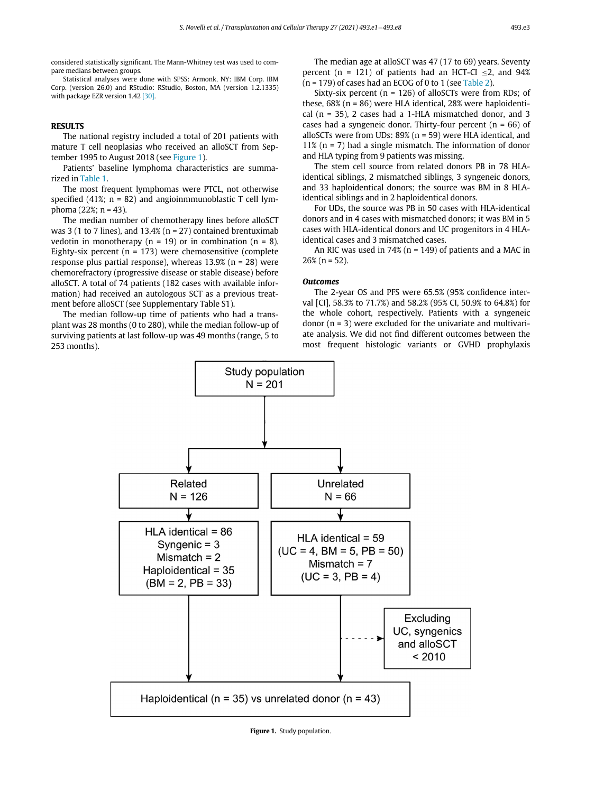considered statistically significant. The Mann-Whitney test was used to compare medians between groups.

Statistical analyses were done with SPSS: Armonk, NY: IBM Corp. IBM Corp. (version 26.0) and RStudio: RStudio, Boston, MA (version 1.2.1335) with package EZR version 1.42 [\[30\]](#page-7-14).

The national registry included a total of 201 patients with mature T cell neoplasias who received an alloSCT from September 1995 to August 2018 (see [Figure 1](#page-2-0)).

Patients' baseline lymphoma characteristics are summarized in [Table 1](#page-3-0).

The most frequent lymphomas were PTCL, not otherwise specified (41%;  $n = 82$ ) and angioinmmunoblastic T cell lymphoma (22%; n = 43).

The median number of chemotherapy lines before alloSCT was 3 (1 to 7 lines), and  $13.4\%$  (n = 27) contained brentuximab vedotin in monotherapy ( $n = 19$ ) or in combination ( $n = 8$ ). Eighty-six percent ( $n = 173$ ) were chemosensitive (complete response plus partial response), whereas  $13.9%$  (n = 28) were chemorefractory (progressive disease or stable disease) before alloSCT. A total of 74 patients (182 cases with available information) had received an autologous SCT as a previous treatment before alloSCT (see Supplementary Table S1).

<span id="page-2-0"></span>The median follow-up time of patients who had a transplant was 28 months (0 to 280), while the median follow-up of surviving patients at last follow-up was 49 months (range, 5 to 253 months).

The median age at alloSCT was 47 (17 to 69) years. Seventy percent (n = 121) of patients had an HCT-CI  $\leq$ 2, and 94%  $(n = 179)$  of cases had an ECOG of 0 to 1 (see [Table 2\)](#page-3-1).

Sixty-six percent ( $n = 126$ ) of alloSCTs were from RDs; of these, 68% (n = 86) were HLA identical, 28% were haploidentical (n = 35), 2 cases had a 1-HLA mismatched donor, and 3 cases had a syngeneic donor. Thirty-four percent  $(n = 66)$  of alloSCTs were from UDs: 89% (n = 59) were HLA identical, and 11% ( $n = 7$ ) had a single mismatch. The information of donor and HLA typing from 9 patients was missing.

The stem cell source from related donors PB in 78 HLAidentical siblings, 2 mismatched siblings, 3 syngeneic donors, and 33 haploidentical donors; the source was BM in 8 HLAidentical siblings and in 2 haploidentical donors.

For UDs, the source was PB in 50 cases with HLA-identical donors and in 4 cases with mismatched donors; it was BM in 5 cases with HLA-identical donors and UC progenitors in 4 HLAidentical cases and 3 mismatched cases.

An RIC was used in  $74\%$  (n = 149) of patients and a MAC in  $26\%$  (n = 52).

### **Outcomes**

The 2-year OS and PFS were 65.5% (95% confidence interval [CI], 58.3% to 71.7%) and 58.2% (95% CI, 50.9% to 64.8%) for the whole cohort, respectively. Patients with a syngeneic donor  $(n = 3)$  were excluded for the univariate and multivariate analysis. We did not find different outcomes between the most frequent histologic variants or GVHD prophylaxis



Figure 1. Study population.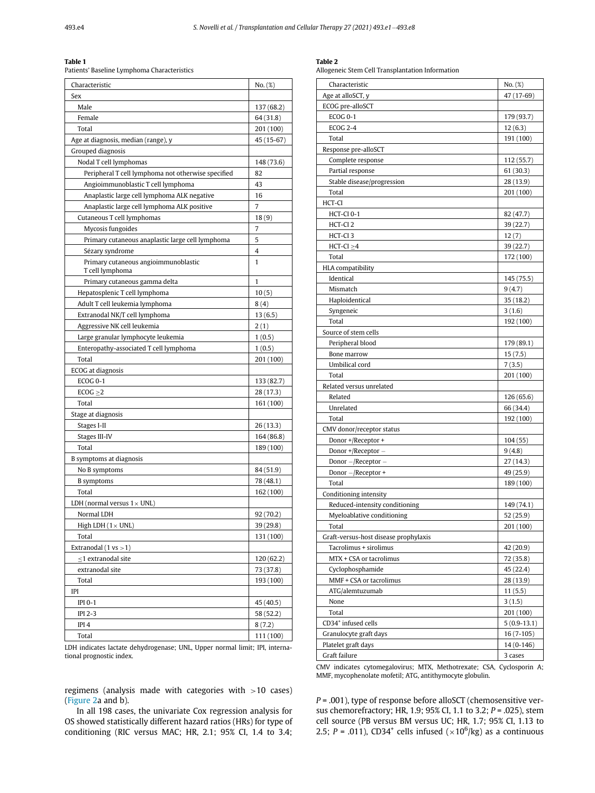<span id="page-3-1"></span><span id="page-3-0"></span>------ -<br>Patients' Baseline Lymphoma Characteristics

| Characteristic                                     | No. (%)    |
|----------------------------------------------------|------------|
| Sex                                                |            |
| Male                                               | 137 (68.2) |
| Female                                             | 64 (31.8)  |
| Total                                              | 201 (100)  |
| Age at diagnosis, median (range), y                | 45 (15-67) |
| Grouped diagnosis                                  |            |
| Nodal T cell lymphomas                             | 148 (73.6) |
| Peripheral T cell lymphoma not otherwise specified | 82         |
| Angioimmunoblastic T cell lymphoma                 | 43         |
| Anaplastic large cell lymphoma ALK negative        | 16         |
| Anaplastic large cell lymphoma ALK positive        | 7          |
| Cutaneous T cell lymphomas                         | 18(9)      |
| Mycosis fungoides                                  | 7          |
| Primary cutaneous anaplastic large cell lymphoma   | 5          |
| Sézary syndrome                                    | 4          |
| Primary cutaneous angioimmunoblastic               | 1          |
| T cell lymphoma                                    |            |
| Primary cutaneous gamma delta                      | 1          |
| Hepatosplenic T cell lymphoma                      | 10(5)      |
| Adult T cell leukemia lymphoma                     | 8(4)       |
| Extranodal NK/T cell lymphoma                      | 13(6.5)    |
| Aggressive NK cell leukemia                        | 2(1)       |
| Large granular lymphocyte leukemia                 | 1(0.5)     |
| Enteropathy-associated T cell lymphoma             | 1(0.5)     |
| Total                                              | 201 (100)  |
| ECOG at diagnosis                                  |            |
| <b>ECOG 0-1</b>                                    | 133 (82.7) |
| $ECOG \geq 2$                                      | 28 (17.3)  |
| Total                                              | 161 (100)  |
| Stage at diagnosis                                 |            |
| Stages I-II                                        | 26 (13.3)  |
| Stages III-IV                                      | 164 (86.8) |
| Total                                              | 189 (100)  |
| B symptoms at diagnosis                            |            |
| No B symptoms                                      | 84 (51.9)  |
| <b>B</b> symptoms                                  | 78 (48.1)  |
| Total                                              | 162 (100)  |
| LDH (normal versus $1 \times UNL$ )                |            |
| Normal LDH                                         | 92 (70.2)  |
| High LDH $(1 \times UNL)$                          | 39 (29.8)  |
| Total                                              | 131 (100)  |
| Extranodal $(1 \text{ vs } > 1)$                   |            |
| $\leq$ 1 extranodal site                           | 120 (62.2) |
| extranodal site                                    | 73 (37.8)  |
| Total                                              | 193 (100)  |
| IPI                                                |            |
| <b>IPI 0-1</b>                                     | 45 (40.5)  |
| <b>IPI 2-3</b>                                     | 58 (52.2)  |
| IPI <sub>4</sub>                                   | 8(7.2)     |
| Total                                              | 111 (100)  |
|                                                    |            |

LDH indicates lactate dehydrogenase; UNL, Upper normal limit; IPI, international prognostic index.

regimens (analysis made with categories with >10 cases) ([Figure 2](#page-4-0)a and b).

In all 198 cases, the univariate Cox regression analysis for OS showed statistically different hazard ratios (HRs) for type of conditioning (RIC versus MAC; HR, 2.1; 95% CI, 1.4 to 3.4;

Table 2 Allogeneic Stem Cell Transplantation Information

| Characteristic                        | No. (%)       |
|---------------------------------------|---------------|
| Age at alloSCT, y                     | 47 (17-69)    |
| ECOG pre-alloSCT                      |               |
| <b>ECOG 0-1</b>                       | 179 (93.7)    |
| <b>ECOG 2-4</b>                       | 12(6.3)       |
| Total                                 | 191 (100)     |
| Response pre-alloSCT                  |               |
| Complete response                     | 112 (55.7)    |
| Partial response                      | 61 (30.3)     |
| Stable disease/progression            | 28 (13.9)     |
| Total                                 | 201 (100)     |
| HCT-CI                                |               |
| HCT-CI 0-1                            | 82 (47.7)     |
| HCT-CI <sub>2</sub>                   | 39(22.7)      |
| HCT-CI <sub>3</sub>                   | 12(7)         |
| $HCT-CI \geq 4$                       | 39(22.7)      |
| Total                                 | 172 (100)     |
| HLA compatibility                     |               |
| Identical                             | 145 (75.5)    |
| Mismatch                              | 9(4.7)        |
| Haploidentical                        | 35(18.2)      |
| Syngeneic                             | 3(1.6)        |
| Total                                 | 192 (100)     |
| Source of stem cells                  |               |
| Peripheral blood                      | 179 (89.1)    |
| Bone marrow                           | 15(7.5)       |
| Umbilical cord                        | 7(3.5)        |
| Total                                 | 201 (100)     |
| Related versus unrelated              |               |
| Related                               | 126 (65.6)    |
| Unrelated                             | 66 (34.4)     |
| Total                                 | 192 (100)     |
| CMV donor/receptor status             |               |
| Donor +/Receptor +                    | 104(55)       |
| Donor +/Receptor -                    | 9(4.8)        |
| Donor -/Receptor -                    | 27(14.3)      |
| Donor -/Receptor +                    | 49 (25.9)     |
| Total                                 | 189 (100)     |
| Conditioning intensity                |               |
| Reduced-intensity conditioning        | 149 (74.1)    |
| Myeloablative conditioning            | 52 (25.9)     |
| Total                                 | 201 (100)     |
| Graft-versus-host disease prophylaxis |               |
| Tacrolimus + sirolimus                | 42 (20.9)     |
| MTX + CSA or tacrolimus               | 72 (35.8)     |
| Cyclophosphamide                      | 45 (22.4)     |
| MMF + CSA or tacrolimus               |               |
|                                       | 28 (13.9)     |
| ATG/alemtuzumab<br>None               | 11(5.5)       |
| Total                                 | 3(1.5)        |
| CD34 <sup>+</sup> infused cells       | 201 (100)     |
|                                       | $5(0.9-13.1)$ |
| Granulocyte graft days                | $16(7-105)$   |
| Platelet graft days                   | 14 (0-146)    |
| Graft failure                         | 3 cases       |

CMV indicates cytomegalovirus; MTX, Methotrexate; CSA, Cyclosporin A; MMF, mycophenolate mofetil; ATG, antithymocyte globulin.

 $P = .001$ ), type of response before alloSCT (chemosensitive versus chemorefractory; HR, 1.9; 95% CI, 1.1 to 3.2; P = .025), stem cell source (PB versus BM versus UC; HR, 1.7; 95% CI, 1.13 to 2.5;  $P = .011$ ), CD34<sup>+</sup> cells infused ( $\times 10^6$ /kg) as a continuous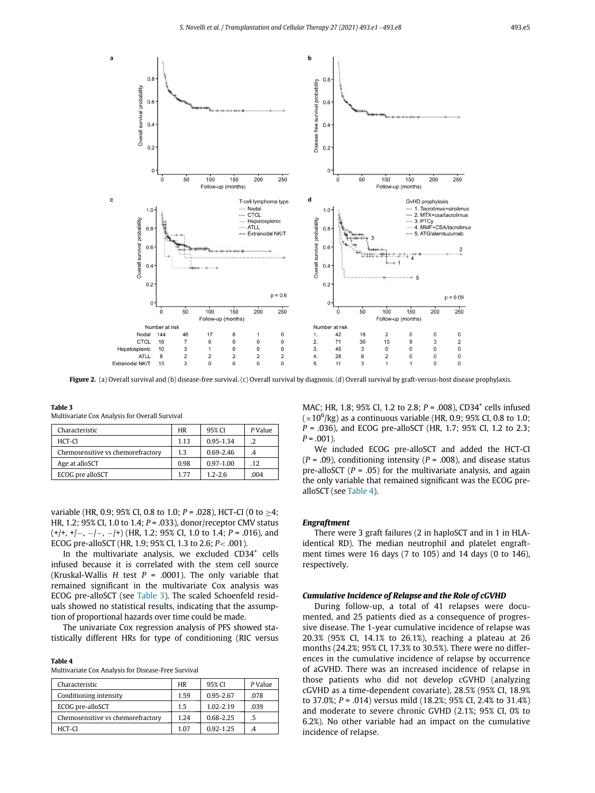<span id="page-4-0"></span>

Figure 2. (a) Overall survival and (b) disease-free survival. (c) Overall survival by diagnosis. (d) Overall survival by graft-versus-host disease prophylaxis.

 $P$  Value

<span id="page-4-1"></span>

| Table 3<br>Multivariate Cox Analysis for Overall Survival |  |        |  |  |  |
|-----------------------------------------------------------|--|--------|--|--|--|
| Characteristic                                            |  | 95% CI |  |  |  |

| HCT-CI                            | 1.13 | 0.95-1.34     |      |
|-----------------------------------|------|---------------|------|
| Chemosensitive vs chemorefractory | 1.3  | $0.69 - 2.46$ |      |
| Age at alloSCT                    | 0.98 | $0.97 - 1.00$ | .12  |
| ECOG pre alloSCT                  | 177  | $1.2 - 2.6$   | .004 |

variable (HR, 0.9; 95% CI, 0.8 to 1.0;  $P = .028$ ), HCT-CI (0 to  $\geq 4$ ; HR, 1.2; 95% CI, 1.0 to 1.4;  $P = .033$ ), donor/receptor CMV status  $(+/+, +/-, -/-, -/+)$  (HR, 1.2; 95% CI, 1.0 to 1.4; P = .016), and ECOG pre-alloSCT (HR, 1.9; 95% CI, 1.3 to 2.6; P< .001).

In the multivariate analysis, we excluded  $CD34<sup>+</sup>$  cells infused because it is correlated with the stem cell source (Kruskal-Wallis H test  $P = .0001$ ). The only variable that remained significant in the multivariate Cox analysis was ECOG pre-alloSCT (see [Table 3](#page-4-1)). The scaled Schoenfeld residuals showed no statistical results, indicating that the assumption of proportional hazards over time could be made.

The univariate Cox regression analysis of PFS showed statistically different HRs for type of conditioning (RIC versus

<span id="page-4-2"></span>Multivariate Cox Analysis for Disease-Free Survival

| Characteristic                    | <b>HR</b> | 95% CI        | P Value |
|-----------------------------------|-----------|---------------|---------|
| Conditioning intensity            | 1.59      | 0.95-2.67     | .078    |
| ECOG pre-alloSCT                  | 1.5       | $1.02 - 2.19$ | .039    |
| Chemosensitive vs chemorefractory | 1 24      | 0.68-2.25     | .5      |
| HCT-CI                            | 1.07      | $0.92 - 1.25$ |         |

MAC; HR, 1.8; 95% CI, 1.2 to 2.8;  $P = .008$ ), CD34<sup>+</sup> cells infused  $(\times 10^6\rm{/kg})$  as a continuous variable (HR, 0.9; 95% CI, 0.8 to 1.0;  $P = .036$ ), and ECOG pre-alloSCT (HR, 1.7; 95% CI, 1.2 to 2.3;  $P = .001$ ).

We included ECOG pre-alloSCT and added the HCT-CI  $(P = .09)$ , conditioning intensity  $(P = .008)$ , and disease status pre-alloSCT ( $P = .05$ ) for the multivariate analysis, and again the only variable that remained significant was the ECOG prealloSCT (see [Table 4](#page-4-2)).

### Engraftment

There were 3 graft failures (2 in haploSCT and in 1 in HLAidentical RD). The median neutrophil and platelet engraftment times were 16 days (7 to 105) and 14 days (0 to 146), respectively.

### Cumulative Incidence of Relapse and the Role of cGVHD

During follow-up, a total of 41 relapses were documented, and 25 patients died as a consequence of progressive disease. The 1-year cumulative incidence of relapse was 20.3% (95% CI, 14.1% to 26.1%), reaching a plateau at 26 months (24.2%; 95% CI, 17.3% to 30.5%). There were no differences in the cumulative incidence of relapse by occurrence of aGVHD. There was an increased incidence of relapse in those patients who did not develop cGVHD (analyzing cGVHD as a time-dependent covariate), 28.5% (95% CI, 18.9% to 37.0%; P = .014) versus mild (18.2%; 95% CI, 2.4% to 31.4%) and moderate to severe chronic GVHD (2.1%; 95% CI, 0% to 6.2%). No other variable had an impact on the cumulative incidence of relapse.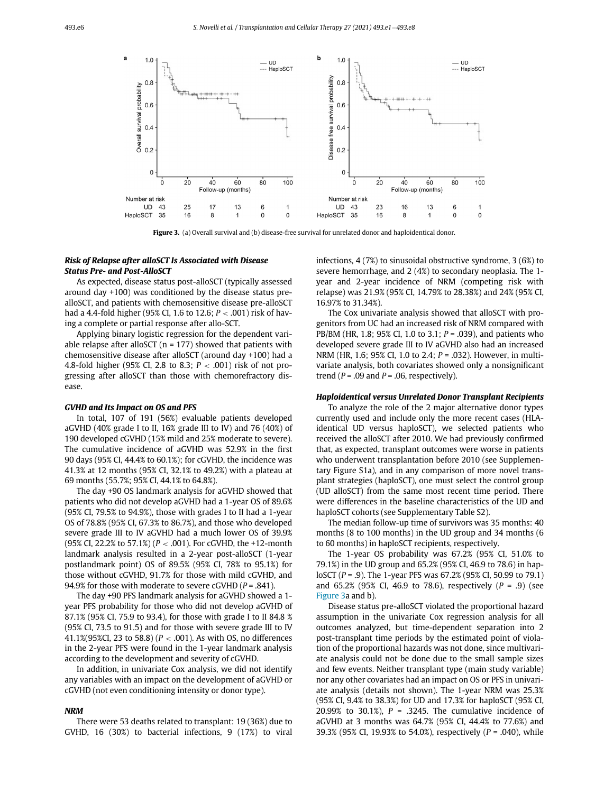<span id="page-5-0"></span>

Figure 3. (a) Overall survival and (b) disease-free survival for unrelated donor and haploidentical donor.

## Risk of Relapse after alloSCT Is Associated with Disease Status Pre- and Post-AlloSCT

As expected, disease status post-alloSCT (typically assessed around day +100) was conditioned by the disease status prealloSCT, and patients with chemosensitive disease pre-alloSCT had a 4.4-fold higher (95% CI, 1.6 to 12.6; P < .001) risk of having a complete or partial response after allo-SCT.

Applying binary logistic regression for the dependent variable relapse after alloSCT ( $n = 177$ ) showed that patients with chemosensitive disease after alloSCT (around day +100) had a 4.8-fold higher (95% CI, 2.8 to 8.3;  $P < .001$ ) risk of not progressing after alloSCT than those with chemorefractory disease.

### GVHD and Its Impact on OS and PFS

In total, 107 of 191 (56%) evaluable patients developed aGVHD (40% grade I to II, 16% grade III to IV) and 76 (40%) of 190 developed cGVHD (15% mild and 25% moderate to severe). The cumulative incidence of aGVHD was 52.9% in the first 90 days (95% CI, 44.4% to 60.1%); for cGVHD, the incidence was 41.3% at 12 months (95% CI, 32.1% to 49.2%) with a plateau at 69 months (55.7%; 95% CI, 44.1% to 64.8%).

The day +90 OS landmark analysis for aGVHD showed that patients who did not develop aGVHD had a 1-year OS of 89.6% (95% CI, 79.5% to 94.9%), those with grades I to II had a 1-year OS of 78.8% (95% CI, 67.3% to 86.7%), and those who developed severe grade III to IV aGVHD had a much lower OS of 39.9% (95% CI, 22.2% to 57.1%) ( $P < .001$ ). For cGVHD, the +12-month landmark analysis resulted in a 2-year post-alloSCT (1-year postlandmark point) OS of 89.5% (95% CI, 78% to 95.1%) for those without cGVHD, 91.7% for those with mild cGVHD, and 94.9% for those with moderate to severe cGVHD ( $P = .841$ ).

The day +90 PFS landmark analysis for aGVHD showed a 1 year PFS probability for those who did not develop aGVHD of 87.1% (95% CI, 75.9 to 93.4), for those with grade I to II 84.8 % (95% CI, 73.5 to 91.5) and for those with severe grade III to IV 41.1%(95%CI, 23 to 58.8) ( $P < .001$ ). As with OS, no differences in the 2-year PFS were found in the 1-year landmark analysis according to the development and severity of cGVHD.

In addition, in univariate Cox analysis, we did not identify any variables with an impact on the development of aGVHD or cGVHD (not even conditioning intensity or donor type).

## NRM

There were 53 deaths related to transplant: 19 (36%) due to GVHD, 16 (30%) to bacterial infections, 9 (17%) to viral infections, 4 (7%) to sinusoidal obstructive syndrome, 3 (6%) to severe hemorrhage, and 2 (4%) to secondary neoplasia. The 1 year and 2-year incidence of NRM (competing risk with relapse) was 21.9% (95% CI, 14.79% to 28.38%) and 24% (95% CI, 16.97% to 31.34%).

The Cox univariate analysis showed that alloSCT with progenitors from UC had an increased risk of NRM compared with PB/BM (HR, 1.8; 95% CI, 1.0 to 3.1;  $P = .039$ ), and patients who developed severe grade III to IV aGVHD also had an increased NRM (HR, 1.6; 95% CI, 1.0 to 2.4; *P* = .032). However, in multivariate analysis, both covariates showed only a nonsignificant trend ( $P = .09$  and  $P = .06$ , respectively).

# Haploidentical versus Unrelated Donor Transplant Recipients

To analyze the role of the 2 major alternative donor types currently used and include only the more recent cases (HLAidentical UD versus haploSCT), we selected patients who received the alloSCT after 2010. We had previously confirmed that, as expected, transplant outcomes were worse in patients who underwent transplantation before 2010 (see Supplementary Figure S1a), and in any comparison of more novel transplant strategies (haploSCT), one must select the control group (UD alloSCT) from the same most recent time period. There were differences in the baseline characteristics of the UD and haploSCT cohorts (see Supplementary Table S2).

The median follow-up time of survivors was 35 months: 40 months (8 to 100 months) in the UD group and 34 months (6 to 60 months) in haploSCT recipients, respectively.

The 1-year OS probability was 67.2% (95% CI, 51.0% to 79.1%) in the UD group and 65.2% (95% CI, 46.9 to 78.6) in haploSCT (P = .9). The 1-year PFS was 67.2% (95% CI, 50.99 to 79.1) and 65.2% (95% CI, 46.9 to 78.6), respectively  $(P = .9)$  (see [Figure 3a](#page-5-0) and b).

Disease status pre-alloSCT violated the proportional hazard assumption in the univariate Cox regression analysis for all outcomes analyzed, but time-dependent separation into 2 post-transplant time periods by the estimated point of violation of the proportional hazards was not done, since multivariate analysis could not be done due to the small sample sizes and few events. Neither transplant type (main study variable) nor any other covariates had an impact on OS or PFS in univariate analysis (details not shown). The 1-year NRM was 25.3% (95% CI, 9.4% to 38.3%) for UD and 17.3% for haploSCT (95% CI, 20.99% to 30.1%),  $P = .3245$ . The cumulative incidence of aGVHD at 3 months was 64.7% (95% CI, 44.4% to 77.6%) and 39.3% (95% CI, 19.93% to 54.0%), respectively ( $P = .040$ ), while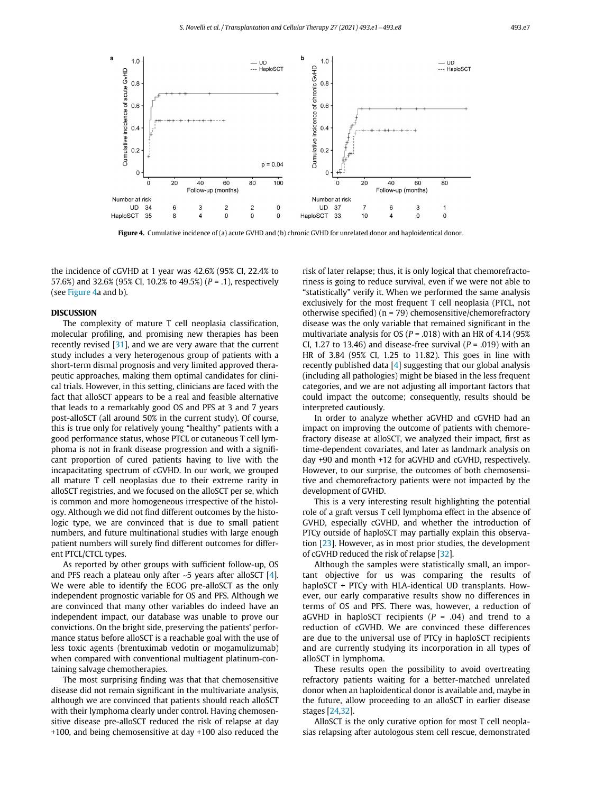<span id="page-6-0"></span>

Figure 4. Cumulative incidence of (a) acute GVHD and (b) chronic GVHD for unrelated donor and haploidentical donor.

the incidence of cGVHD at 1 year was 42.6% (95% CI, 22.4% to 57.6%) and 32.6% (95% CI, 10.2% to 49.5%) ( $P = .1$ ), respectively (see [Figure 4a](#page-6-0) and b).

The complexity of mature T cell neoplasia classification, molecular profiling, and promising new therapies has been recently revised  $[31]$  $[31]$ , and we are very aware that the current study includes a very heterogenous group of patients with a short-term dismal prognosis and very limited approved therapeutic approaches, making them optimal candidates for clinical trials. However, in this setting, clinicians are faced with the fact that alloSCT appears to be a real and feasible alternative that leads to a remarkably good OS and PFS at 3 and 7 years post-alloSCT (all around 50% in the current study). Of course, this is true only for relatively young "healthy" patients with a good performance status, whose PTCL or cutaneous T cell lymphoma is not in frank disease progression and with a significant proportion of cured patients having to live with the incapacitating spectrum of cGVHD. In our work, we grouped all mature T cell neoplasias due to their extreme rarity in alloSCT registries, and we focused on the alloSCT per se, which is common and more homogeneous irrespective of the histology. Although we did not find different outcomes by the histologic type, we are convinced that is due to small patient numbers, and future multinational studies with large enough patient numbers will surely find different outcomes for different PTCL/CTCL types.

As reported by other groups with sufficient follow-up, OS and PFS reach a plateau only after  $\sim$ 5 years after alloSCT [[4\]](#page-7-3). We were able to identify the ECOG pre-alloSCT as the only independent prognostic variable for OS and PFS. Although we are convinced that many other variables do indeed have an independent impact, our database was unable to prove our convictions. On the bright side, preserving the patients' performance status before alloSCT is a reachable goal with the use of less toxic agents (brentuximab vedotin or mogamulizumab) when compared with conventional multiagent platinum-containing salvage chemotherapies.

The most surprising finding was that that chemosensitive disease did not remain significant in the multivariate analysis, although we are convinced that patients should reach alloSCT with their lymphoma clearly under control. Having chemosensitive disease pre-alloSCT reduced the risk of relapse at day +100, and being chemosensitive at day +100 also reduced the

risk of later relapse; thus, it is only logical that chemorefractoriness is going to reduce survival, even if we were not able to "statistically" verify it. When we performed the same analysis exclusively for the most frequent T cell neoplasia (PTCL, not otherwise specified) (n = 79) chemosensitive/chemorefractory disease was the only variable that remained significant in the multivariate analysis for OS ( $P = .018$ ) with an HR of 4.14 (95%) CI, 1.27 to 13.46) and disease-free survival ( $P = .019$ ) with an HR of 3.84 (95% CI, 1.25 to 11.82). This goes in line with recently published data [\[4\]](#page-7-3) suggesting that our global analysis (including all pathologies) might be biased in the less frequent categories, and we are not adjusting all important factors that could impact the outcome; consequently, results should be interpreted cautiously.

In order to analyze whether aGVHD and cGVHD had an impact on improving the outcome of patients with chemorefractory disease at alloSCT, we analyzed their impact, first as time-dependent covariates, and later as landmark analysis on day +90 and month +12 for aGVHD and cGVHD, respectively. However, to our surprise, the outcomes of both chemosensitive and chemorefractory patients were not impacted by the development of GVHD.

This is a very interesting result highlighting the potential role of a graft versus T cell lymphoma effect in the absence of GVHD, especially cGVHD, and whether the introduction of PTCy outside of haploSCT may partially explain this observation [[23](#page-7-16)]. However, as in most prior studies, the development of cGVHD reduced the risk of relapse [\[32\]](#page-7-17).

Although the samples were statistically small, an important objective for us was comparing the results of haploSCT + PTCy with HLA-identical UD transplants. However, our early comparative results show no differences in terms of OS and PFS. There was, however, a reduction of aGVHD in haploSCT recipients ( $P = .04$ ) and trend to a reduction of cGVHD. We are convinced these differences are due to the universal use of PTCy in haploSCT recipients and are currently studying its incorporation in all types of alloSCT in lymphoma.

These results open the possibility to avoid overtreating refractory patients waiting for a better-matched unrelated donor when an haploidentical donor is available and, maybe in the future, allow proceeding to an alloSCT in earlier disease stages [\[24](#page-7-18)[,32](#page-7-17)].

AlloSCT is the only curative option for most T cell neoplasias relapsing after autologous stem cell rescue, demonstrated